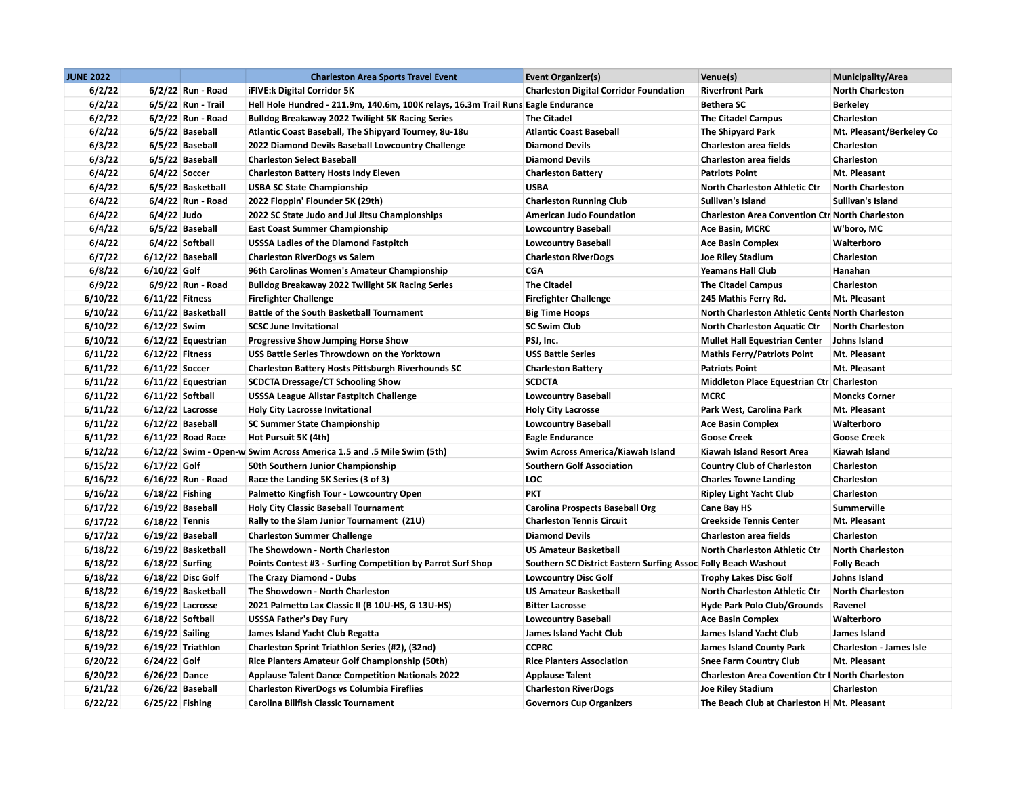| <b>JUNE 2022</b> |                    | <b>Charleston Area Sports Travel Event</b>                                        | Event Organizer(s)                                             | Venue(s)                                                | <b>Municipality/Area</b> |
|------------------|--------------------|-----------------------------------------------------------------------------------|----------------------------------------------------------------|---------------------------------------------------------|--------------------------|
| 6/2/22           | 6/2/22 Run - Road  | <b>iFIVE:k Digital Corridor 5K</b>                                                | <b>Charleston Digital Corridor Foundation</b>                  | <b>Riverfront Park</b>                                  | <b>North Charleston</b>  |
| 6/2/22           | 6/5/22 Run - Trail | Hell Hole Hundred - 211.9m, 140.6m, 100K relays, 16.3m Trail Runs Eagle Endurance |                                                                | <b>Bethera SC</b>                                       | <b>Berkeley</b>          |
| 6/2/22           | 6/2/22 Run - Road  | <b>Bulldog Breakaway 2022 Twilight 5K Racing Series</b>                           | <b>The Citadel</b>                                             | <b>The Citadel Campus</b>                               | Charleston               |
| 6/2/22           | 6/5/22 Baseball    | Atlantic Coast Baseball, The Shipyard Tourney, 8u-18u                             | <b>Atlantic Coast Baseball</b>                                 | The Shipyard Park                                       | Mt. Pleasant/Berkeley Co |
| 6/3/22           | 6/5/22 Baseball    | 2022 Diamond Devils Baseball Lowcountry Challenge                                 | <b>Diamond Devils</b>                                          | <b>Charleston area fields</b>                           | Charleston               |
| 6/3/22           | 6/5/22 Baseball    | <b>Charleston Select Baseball</b>                                                 | <b>Diamond Devils</b>                                          | <b>Charleston area fields</b>                           | <b>Charleston</b>        |
| 6/4/22           | 6/4/22 Soccer      | <b>Charleston Battery Hosts Indy Eleven</b>                                       | <b>Charleston Battery</b>                                      | <b>Patriots Point</b>                                   | Mt. Pleasant             |
| 6/4/22           | 6/5/22 Basketball  | <b>USBA SC State Championship</b>                                                 | <b>USBA</b>                                                    | North Charleston Athletic Ctr                           | <b>North Charleston</b>  |
| 6/4/22           | 6/4/22 Run - Road  | 2022 Floppin' Flounder 5K (29th)                                                  | <b>Charleston Running Club</b>                                 | Sullivan's Island                                       | Sullivan's Island        |
| 6/4/22           | 6/4/22 Judo        | 2022 SC State Judo and Jui Jitsu Championships                                    | <b>American Judo Foundation</b>                                | <b>Charleston Area Convention Ctr North Charleston</b>  |                          |
| 6/4/22           | 6/5/22 Baseball    | <b>East Coast Summer Championship</b>                                             | <b>Lowcountry Baseball</b>                                     | Ace Basin, MCRC                                         | W'boro, MC               |
| 6/4/22           | 6/4/22 Softball    | USSSA Ladies of the Diamond Fastpitch                                             | <b>Lowcountry Baseball</b>                                     | <b>Ace Basin Complex</b>                                | Walterboro               |
| 6/7/22           | $6/12/22$ Baseball | <b>Charleston RiverDogs vs Salem</b>                                              | <b>Charleston RiverDogs</b>                                    | <b>Joe Riley Stadium</b>                                | Charleston               |
| 6/8/22           | $6/10/22$ Golf     | 96th Carolinas Women's Amateur Championship                                       | <b>CGA</b>                                                     | <b>Yeamans Hall Club</b>                                | Hanahan                  |
| 6/9/22           | 6/9/22 Run - Road  | <b>Bulldog Breakaway 2022 Twilight 5K Racing Series</b>                           | <b>The Citadel</b>                                             | <b>The Citadel Campus</b>                               | Charleston               |
| 6/10/22          | 6/11/22 Fitness    | <b>Firefighter Challenge</b>                                                      | <b>Firefighter Challenge</b>                                   | 245 Mathis Ferry Rd.                                    | Mt. Pleasant             |
| 6/10/22          | 6/11/22 Basketball | <b>Battle of the South Basketball Tournament</b>                                  | <b>Big Time Hoops</b>                                          | North Charleston Athletic Cente North Charleston        |                          |
| 6/10/22          | $6/12/22$ Swim     | <b>SCSC June Invitational</b>                                                     | <b>SC Swim Club</b>                                            | <b>North Charleston Aquatic Ctr</b>                     | <b>North Charleston</b>  |
| 6/10/22          | 6/12/22 Equestrian | Progressive Show Jumping Horse Show                                               | PSJ, Inc.                                                      | <b>Mullet Hall Equestrian Center</b>                    | Johns Island             |
| 6/11/22          | $6/12/22$ Fitness  | USS Battle Series Throwdown on the Yorktown                                       | <b>USS Battle Series</b>                                       | <b>Mathis Ferry/Patriots Point</b>                      | Mt. Pleasant             |
| 6/11/22          | 6/11/22 Soccer     | <b>Charleston Battery Hosts Pittsburgh Riverhounds SC</b>                         | <b>Charleston Battery</b>                                      | <b>Patriots Point</b>                                   | Mt. Pleasant             |
| 6/11/22          | 6/11/22 Equestrian | <b>SCDCTA Dressage/CT Schooling Show</b>                                          | <b>SCDCTA</b>                                                  | Middleton Place Equestrian Ctr Charleston               |                          |
| 6/11/22          | 6/11/22 Softball   | <b>USSSA League Allstar Fastpitch Challenge</b>                                   | <b>Lowcountry Baseball</b>                                     | <b>MCRC</b>                                             | <b>Moncks Corner</b>     |
| 6/11/22          | $6/12/22$ Lacrosse | <b>Holy City Lacrosse Invitational</b>                                            | <b>Holy City Lacrosse</b>                                      | Park West, Carolina Park                                | Mt. Pleasant             |
| 6/11/22          | 6/12/22 Baseball   | <b>SC Summer State Championship</b>                                               | <b>Lowcountry Baseball</b>                                     | <b>Ace Basin Complex</b>                                | Walterboro               |
| 6/11/22          | 6/11/22 Road Race  | Hot Pursuit 5K (4th)                                                              | <b>Eagle Endurance</b>                                         | <b>Goose Creek</b>                                      | <b>Goose Creek</b>       |
| 6/12/22          |                    | 6/12/22 Swim - Open-w Swim Across America 1.5 and .5 Mile Swim (5th)              | Swim Across America/Kiawah Island                              | Kiawah Island Resort Area                               | Kiawah Island            |
| 6/15/22          | $6/17/22$ Golf     | 50th Southern Junior Championship                                                 | <b>Southern Golf Association</b>                               | <b>Country Club of Charleston</b>                       | Charleston               |
| 6/16/22          | 6/16/22 Run - Road | Race the Landing 5K Series (3 of 3)                                               | <b>LOC</b>                                                     | <b>Charles Towne Landing</b>                            | Charleston               |
| 6/16/22          | $6/18/22$ Fishing  | Palmetto Kingfish Tour - Lowcountry Open                                          | <b>PKT</b>                                                     | <b>Ripley Light Yacht Club</b>                          | Charleston               |
| 6/17/22          | 6/19/22 Baseball   | <b>Holy City Classic Baseball Tournament</b>                                      | <b>Carolina Prospects Baseball Org</b>                         | Cane Bay HS                                             | <b>Summerville</b>       |
| 6/17/22          | $6/18/22$ Tennis   | Rally to the Slam Junior Tournament (21U)                                         | <b>Charleston Tennis Circuit</b>                               | <b>Creekside Tennis Center</b>                          | Mt. Pleasant             |
| 6/17/22          | 6/19/22 Baseball   | <b>Charleston Summer Challenge</b>                                                | <b>Diamond Devils</b>                                          | <b>Charleston area fields</b>                           | Charleston               |
| 6/18/22          | 6/19/22 Basketball | The Showdown - North Charleston                                                   | <b>US Amateur Basketball</b>                                   | North Charleston Athletic Ctr                           | <b>North Charleston</b>  |
| 6/18/22          | $6/18/22$ Surfing  | Points Contest #3 - Surfing Competition by Parrot Surf Shop                       | Southern SC District Eastern Surfing Assoc Folly Beach Washout |                                                         | <b>Folly Beach</b>       |
| 6/18/22          | 6/18/22 Disc Golf  | The Crazy Diamond - Dubs                                                          | <b>Lowcountry Disc Golf</b>                                    | <b>Trophy Lakes Disc Golf</b>                           | Johns Island             |
| 6/18/22          | 6/19/22 Basketball | The Showdown - North Charleston                                                   | <b>US Amateur Basketball</b>                                   | North Charleston Athletic Ctr                           | <b>North Charleston</b>  |
| 6/18/22          | $6/19/22$ Lacrosse | 2021 Palmetto Lax Classic II (B 10U-HS, G 13U-HS)                                 | <b>Bitter Lacrosse</b>                                         | Hyde Park Polo Club/Grounds                             | Ravenel                  |
| 6/18/22          | 6/18/22 Softball   | <b>USSSA Father's Day Fury</b>                                                    | <b>Lowcountry Baseball</b>                                     | <b>Ace Basin Complex</b>                                | Walterboro               |
| 6/18/22          | $6/19/22$ Sailing  | James Island Yacht Club Regatta                                                   | James Island Yacht Club                                        | <b>James Island Yacht Club</b>                          | James Island             |
| 6/19/22          | 6/19/22 Triathlon  | Charleston Sprint Triathlon Series (#2), (32nd)                                   | <b>CCPRC</b>                                                   | <b>James Island County Park</b>                         | Charleston - James Isle  |
| 6/20/22          | 6/24/22 Golf       | Rice Planters Amateur Golf Championship (50th)                                    | <b>Rice Planters Association</b>                               | <b>Snee Farm Country Club</b>                           | Mt. Pleasant             |
| 6/20/22          | 6/26/22 Dance      | <b>Applause Talent Dance Competition Nationals 2022</b>                           | <b>Applause Talent</b>                                         | <b>Charleston Area Covention Ctr F North Charleston</b> |                          |
| 6/21/22          | $6/26/22$ Baseball | <b>Charleston RiverDogs vs Columbia Fireflies</b>                                 | <b>Charleston RiverDogs</b>                                    | <b>Joe Riley Stadium</b>                                | Charleston               |
| 6/22/22          | $6/25/22$ Fishing  | Carolina Billfish Classic Tournament                                              | <b>Governors Cup Organizers</b>                                | The Beach Club at Charleston H. Mt. Pleasant            |                          |